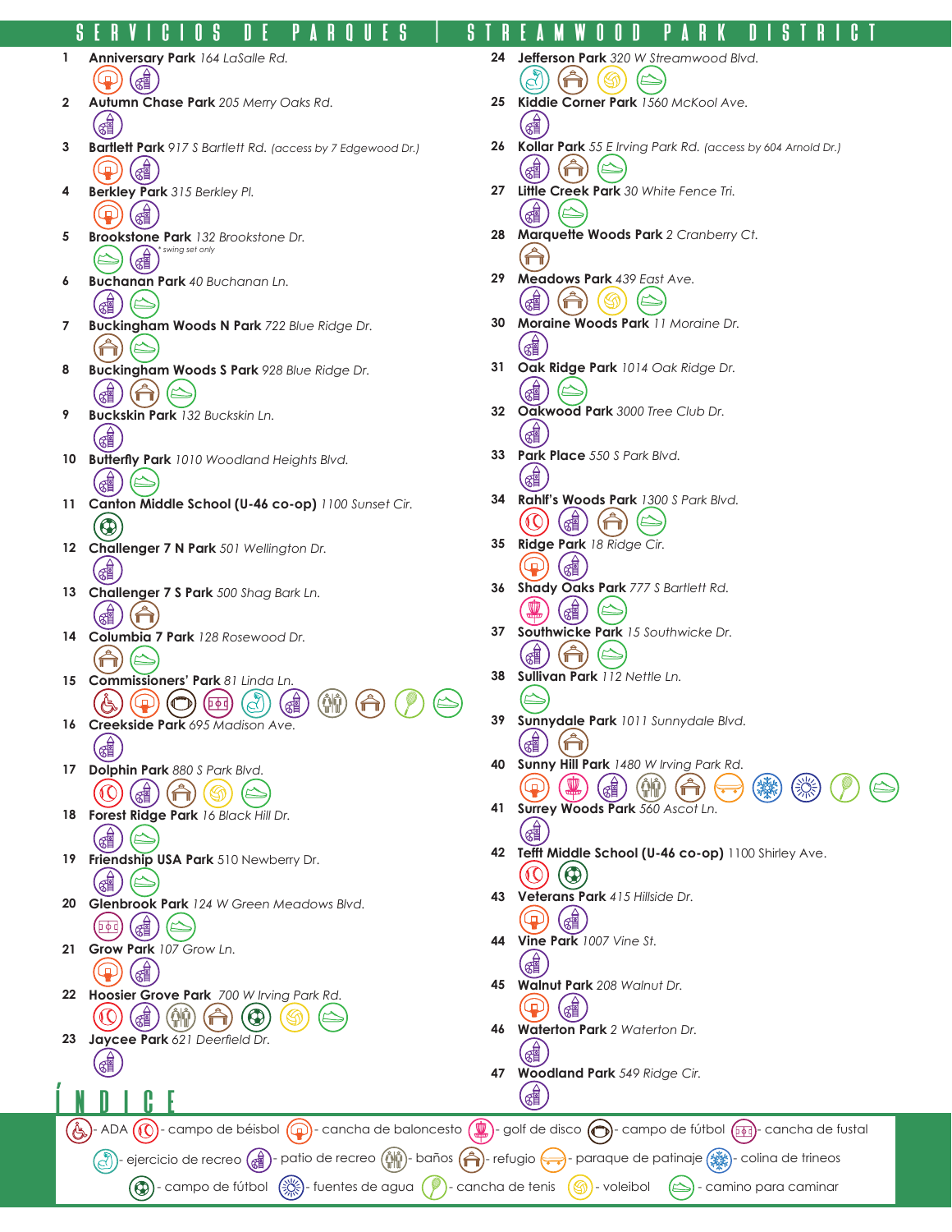## servicios de parques │ Streamwood Park District

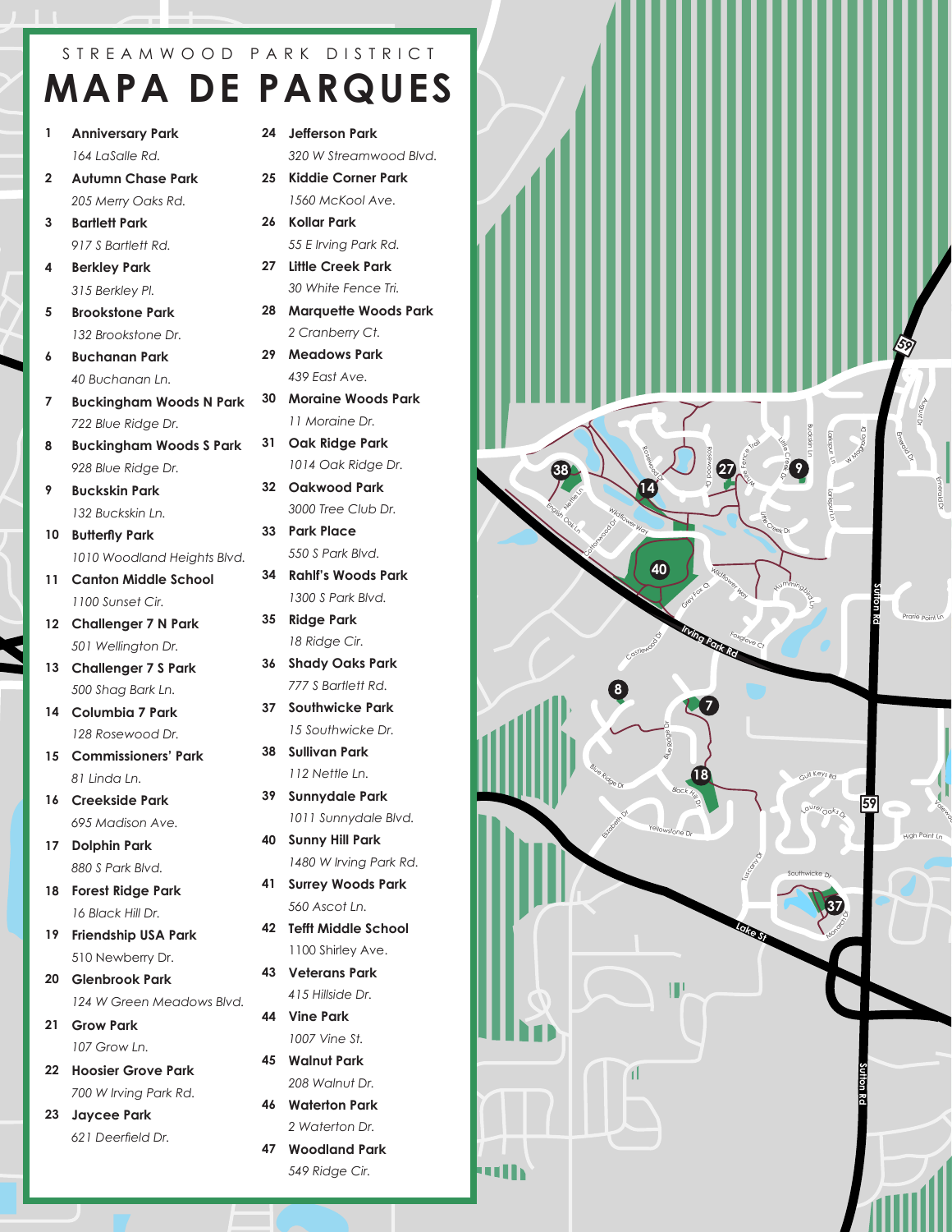## S T R E A M W O O D P A R K D I S T R I C T **MAPA DE PARQUES**

- **1 Anniversary Park** *164 LaSalle Rd.*
- **2 Autumn Chase Park** *205 Merry Oaks Rd.*

**3 Bartlett Park** *917 S Bartlett Rd.*

- **4 Berkley Park** *315 Berkley Pl.*
- **5 Brookstone Park** *132 Brookstone Dr.*
- **6 Buchanan Park** *40 Buchanan Ln.*
- **<sup>I</sup>rvin<sup>g</sup> <sup>P</sup>ar<sup>k</sup> <sup>R</sup><sup>d</sup> 7 Buckingham Woods N Park** *722 Blue Ridge Dr.*
- **8 Buckingham Woods S Park** *928 Blue Ridge Dr.*
- **9 Buckskin Park** *132 Buckskin Ln.*
- **10 Butterfly Park** *1010 Woodland Heights Blvd.*
- **11 Canton Middle School** *1100 Sunset Cir.*
- **12 Challenger 7 N Park** *501 Wellington Dr.*
- **13 Challenger 7 S Park** *500 Shag Bark Ln.*
- **<sup>L</sup>ak<sup>e</sup> <sup>S</sup><sup>t</sup> 14 Columbia 7 Park** *128 Rosewood Dr.*
- **15 Commissioners' Park** *81 Linda Ln.*
- **16 Creekside Park** *695 Madison Ave.*
- **17 Dolphin Park** *880 S Park Blvd.*
- **18 Forest Ridge Park** *16 Black Hill Dr.*
- **19 Friendship USA Park** 510 Newberry Dr.
- **20 Glenbrook Park** *124 W Green Meadows Blvd.*
- **21 Grow Park** *107 Grow Ln.*
- **22 Hoosier Grove Park** *700 W Irving Park Rd.*
- **23 Jaycee Park** *621 Deerfield Dr.*
- **24 Jefferson Park** *320 W Streamwood Blvd.*
- **25 Kiddie Corner Park** *1560 McKool Ave.*
- **26 Kollar Park** *55 E Irving Park Rd.*
- **27 Little Creek Park** *30 White Fence Tri.*
- **28 Marquette Woods Park** *2 Cranberry Ct.*
- **29 Meadows Park** *439 East Ave.*
- **19 30 Moraine Woods Park** *11 Moraine Dr.*
- **31 Oak Ridge Park** *1014 Oak Ridge Dr.*
- **32 Oakwood Park** *3000 Tree Club Dr.*
- **33 Park Place** *550 S Park Blvd.*
- **34 Rahlf's Woods Park** *1300 S Park Blvd.*
- **35 Ridge Park** *18 Ridge Cir.*
- **36 Shady Oaks Park** *777 S Bartlett Rd.*
- **37 Southwicke Park** *15 Southwicke Dr.*
- **38 Sullivan Park** *112 Nettle Ln.*
- **39 Sunnydale Park** *1011 Sunnydale Blvd.*
- **40 Sunny Hill Park** *1480 W Irving Park Rd.*
- **41 Surrey Woods Park** *560 Ascot Ln.*
- **42 Tefft Middle School** 1100 Shirley Ave.
- **43 Veterans Park** *415 Hillside Dr.*
- **44 Vine Park** *1007 Vine St.*
- **45 Walnut Park** *208 Walnut Dr.*
- **46 Waterton Park** *2 Waterton Dr.*
- **47 Woodland Park** *549 Ridge Cir.*